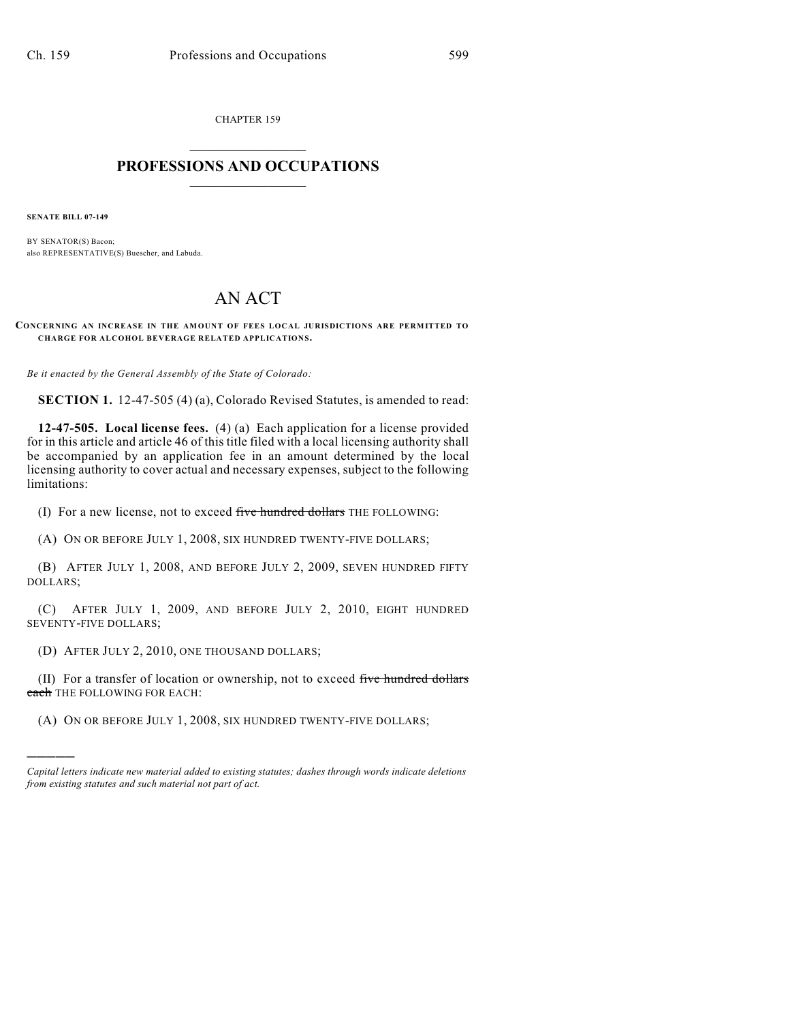CHAPTER 159  $\overline{\phantom{a}}$  . The set of the set of the set of the set of the set of the set of the set of the set of the set of the set of the set of the set of the set of the set of the set of the set of the set of the set of the set o

## **PROFESSIONS AND OCCUPATIONS**  $\frac{1}{2}$  ,  $\frac{1}{2}$  ,  $\frac{1}{2}$  ,  $\frac{1}{2}$  ,  $\frac{1}{2}$  ,  $\frac{1}{2}$

**SENATE BILL 07-149**

)))))

BY SENATOR(S) Bacon; also REPRESENTATIVE(S) Buescher, and Labuda.

## AN ACT

**CONCERNING AN INCREASE IN THE AM OUNT OF FEES LOCAL JURISDICTIONS ARE PERMITTED TO CHARGE FOR ALCOHOL BEVERAGE RELATED APPLICATIONS.**

*Be it enacted by the General Assembly of the State of Colorado:*

**SECTION 1.** 12-47-505 (4) (a), Colorado Revised Statutes, is amended to read:

**12-47-505. Local license fees.** (4) (a) Each application for a license provided for in this article and article 46 of this title filed with a local licensing authority shall be accompanied by an application fee in an amount determined by the local licensing authority to cover actual and necessary expenses, subject to the following limitations:

(I) For a new license, not to exceed five hundred dollars THE FOLLOWING:

(A) ON OR BEFORE JULY 1, 2008, SIX HUNDRED TWENTY-FIVE DOLLARS;

(B) AFTER JULY 1, 2008, AND BEFORE JULY 2, 2009, SEVEN HUNDRED FIFTY DOLLARS;

(C) AFTER JULY 1, 2009, AND BEFORE JULY 2, 2010, EIGHT HUNDRED SEVENTY-FIVE DOLLARS;

(D) AFTER JULY 2, 2010, ONE THOUSAND DOLLARS;

(II) For a transfer of location or ownership, not to exceed five hundred dollars each THE FOLLOWING FOR EACH:

(A) ON OR BEFORE JULY 1, 2008, SIX HUNDRED TWENTY-FIVE DOLLARS;

*Capital letters indicate new material added to existing statutes; dashes through words indicate deletions from existing statutes and such material not part of act.*